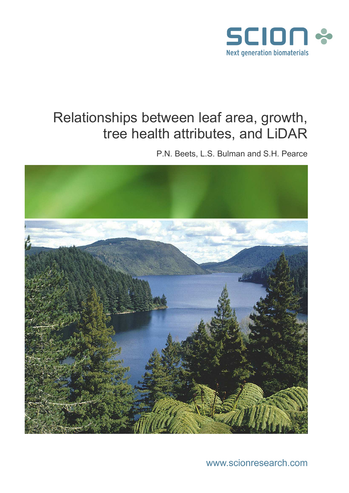

# Relationships between leaf area, growth, tree health attributes, and LiDAR

P.N. Beets, L.S. Bulman and S.H. Pearce



www.scionresearch.com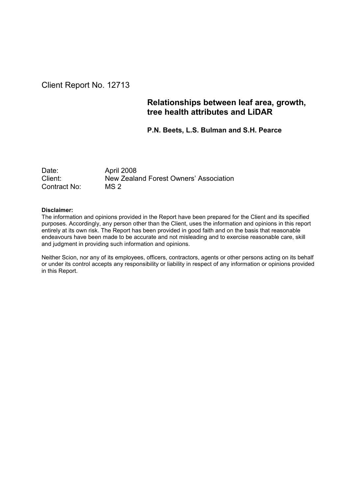### Client Report No. 12713

### Relationships between leaf area, growth, tree health attributes and LiDAR

P.N. Beets, L.S. Bulman and S.H. Pearce

Date: April 2008<br>Client: New Zeala New Zealand Forest Owners' Association Contract No: MS 2

#### Disclaimer:

The information and opinions provided in the Report have been prepared for the Client and its specified purposes. Accordingly, any person other than the Client, uses the information and opinions in this report entirely at its own risk. The Report has been provided in good faith and on the basis that reasonable endeavours have been made to be accurate and not misleading and to exercise reasonable care, skill and judgment in providing such information and opinions.

Neither Scion, nor any of its employees, officers, contractors, agents or other persons acting on its behalf or under its control accepts any responsibility or liability in respect of any information or opinions provided in this Report.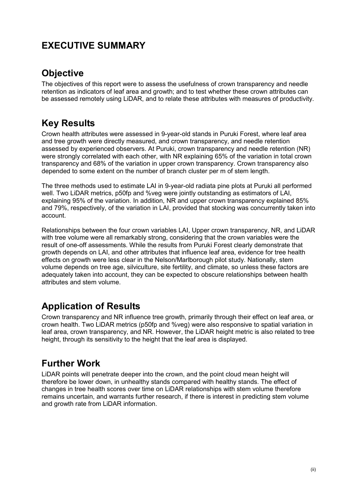## EXECUTIVE SUMMARY

## **Objective**

The objectives of this report were to assess the usefulness of crown transparency and needle retention as indicators of leaf area and growth; and to test whether these crown attributes can be assessed remotely using LiDAR, and to relate these attributes with measures of productivity.

## Key Results

Crown health attributes were assessed in 9-year-old stands in Puruki Forest, where leaf area and tree growth were directly measured, and crown transparency, and needle retention assessed by experienced observers. At Puruki, crown transparency and needle retention (NR) were strongly correlated with each other, with NR explaining 65% of the variation in total crown transparency and 68% of the variation in upper crown transparency. Crown transparency also depended to some extent on the number of branch cluster per m of stem length.

The three methods used to estimate LAI in 9-year-old radiata pine plots at Puruki all performed well. Two LiDAR metrics, p50fp and %veg were jointly outstanding as estimators of LAI, explaining 95% of the variation. In addition, NR and upper crown transparency explained 85% and 79%, respectively, of the variation in LAI, provided that stocking was concurrently taken into account.

Relationships between the four crown variables LAI, Upper crown transparency, NR, and LiDAR with tree volume were all remarkably strong, considering that the crown variables were the result of one-off assessments. While the results from Puruki Forest clearly demonstrate that growth depends on LAI, and other attributes that influence leaf area, evidence for tree health effects on growth were less clear in the Nelson/Marlborough pilot study. Nationally, stem volume depends on tree age, silviculture, site fertility, and climate, so unless these factors are adequately taken into account, they can be expected to obscure relationships between health attributes and stem volume.

## Application of Results

Crown transparency and NR influence tree growth, primarily through their effect on leaf area, or crown health. Two LiDAR metrics (p50fp and %veg) were also responsive to spatial variation in leaf area, crown transparency, and NR. However, the LiDAR height metric is also related to tree height, through its sensitivity to the height that the leaf area is displayed.

## Further Work

LiDAR points will penetrate deeper into the crown, and the point cloud mean height will therefore be lower down, in unhealthy stands compared with healthy stands. The effect of changes in tree health scores over time on LiDAR relationships with stem volume therefore remains uncertain, and warrants further research, if there is interest in predicting stem volume and growth rate from LiDAR information.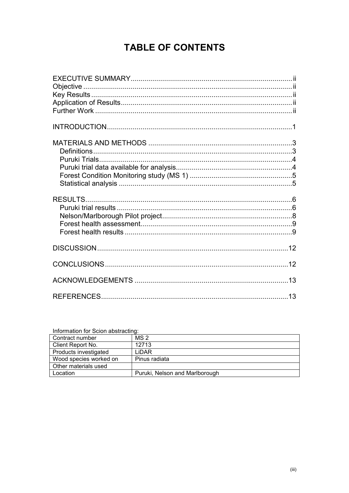## **TABLE OF CONTENTS**

| <u>mondation for ocion abstracting.</u> |                                |
|-----------------------------------------|--------------------------------|
| Contract number                         | MS <sub>2</sub>                |
| Client Report No.                       | 12713                          |
| Products investigated                   | LIDAR                          |
| Wood species worked on                  | Pinus radiata                  |
| Other materials used                    |                                |
| Location                                | Puruki, Nelson and Marlborough |

Information for Scion abstracting: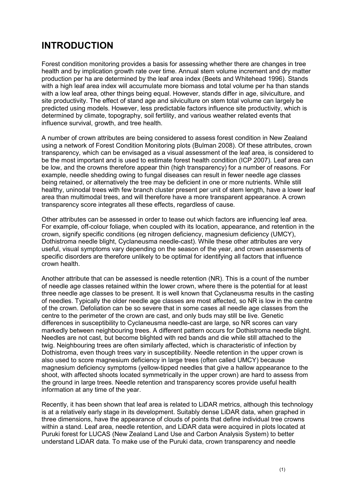## INTRODUCTION

Forest condition monitoring provides a basis for assessing whether there are changes in tree health and by implication growth rate over time. Annual stem volume increment and dry matter production per ha are determined by the leaf area index (Beets and Whitehead 1996). Stands with a high leaf area index will accumulate more biomass and total volume per ha than stands with a low leaf area, other things being equal. However, stands differ in age, silviculture, and site productivity. The effect of stand age and silviculture on stem total volume can largely be predicted using models. However, less predictable factors influence site productivity, which is determined by climate, topography, soil fertility, and various weather related events that influence survival, growth, and tree health.

A number of crown attributes are being considered to assess forest condition in New Zealand using a network of Forest Condition Monitoring plots (Bulman 2008). Of these attributes, crown transparency, which can be envisaged as a visual assessment of the leaf area, is considered to be the most important and is used to estimate forest health condition (ICP 2007). Leaf area can be low, and the crowns therefore appear thin (high transparency) for a number of reasons. For example, needle shedding owing to fungal diseases can result in fewer needle age classes being retained, or alternatively the tree may be deficient in one or more nutrients. While still healthy, uninodal trees with few branch cluster present per unit of stem length, have a lower leaf area than multimodal trees, and will therefore have a more transparent appearance. A crown transparency score integrates all these effects, regardless of cause.

Other attributes can be assessed in order to tease out which factors are influencing leaf area. For example, off-colour foliage, when coupled with its location, appearance, and retention in the crown, signify specific conditions (eg nitrogen deficiency, magnesium deficiency (UMCY), Dothistroma needle blight, Cyclaneusma needle-cast). While these other attributes are very useful, visual symptoms vary depending on the season of the year, and crown assessments of specific disorders are therefore unlikely to be optimal for identifying all factors that influence crown health.

Another attribute that can be assessed is needle retention (NR). This is a count of the number of needle age classes retained within the lower crown, where there is the potential for at least three needle age classes to be present. It is well known that Cyclaneusma results in the casting of needles. Typically the older needle age classes are most affected, so NR is low in the centre of the crown. Defoliation can be so severe that in some cases all needle age classes from the centre to the perimeter of the crown are cast, and only buds may still be live. Genetic differences in susceptibility to Cyclaneusma needle-cast are large, so NR scores can vary markedly between neighbouring trees. A different pattern occurs for Dothistroma needle blight. Needles are not cast, but become blighted with red bands and die while still attached to the twig. Neighbouring trees are often similarly affected, which is characteristic of infection by Dothistroma, even though trees vary in susceptibility. Needle retention in the upper crown is also used to score magnesium deficiency in large trees (often called UMCY) because magnesium deficiency symptoms (yellow-tipped needles that give a hallow appearance to the shoot, with affected shoots located symmetrically in the upper crown) are hard to assess from the ground in large trees. Needle retention and transparency scores provide useful health information at any time of the year.

Recently, it has been shown that leaf area is related to LiDAR metrics, although this technology is at a relatively early stage in its development. Suitably dense LiDAR data, when graphed in three dimensions, have the appearance of clouds of points that define individual tree crowns within a stand. Leaf area, needle retention, and LiDAR data were acquired in plots located at Puruki forest for LUCAS (New Zealand Land Use and Carbon Analysis System) to better understand LiDAR data. To make use of the Puruki data, crown transparency and needle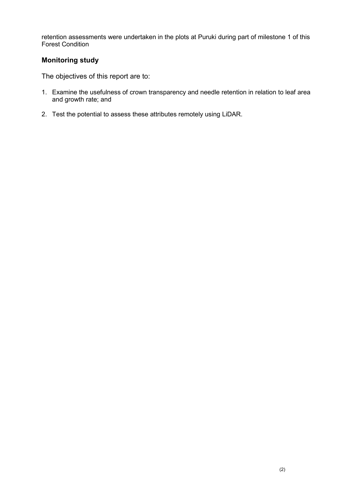retention assessments were undertaken in the plots at Puruki during part of milestone 1 of this Forest Condition

### Monitoring study

The objectives of this report are to:

- 1. Examine the usefulness of crown transparency and needle retention in relation to leaf area and growth rate; and
- 2. Test the potential to assess these attributes remotely using LiDAR.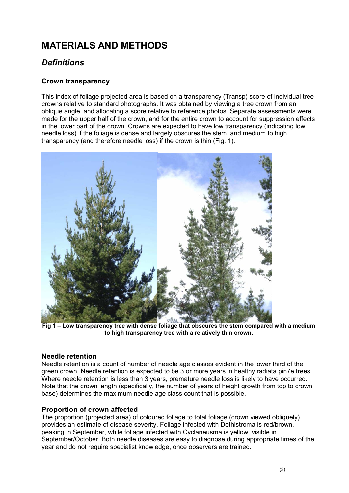## MATERIALS AND METHODS

### **Definitions**

### Crown transparency

This index of foliage projected area is based on a transparency (Transp) score of individual tree crowns relative to standard photographs. It was obtained by viewing a tree crown from an oblique angle, and allocating a score relative to reference photos. Separate assessments were made for the upper half of the crown, and for the entire crown to account for suppression effects in the lower part of the crown. Crowns are expected to have low transparency (indicating low needle loss) if the foliage is dense and largely obscures the stem, and medium to high transparency (and therefore needle loss) if the crown is thin (Fig. 1).



Fig 1 – Low transparency tree with dense foliage that obscures the stem compared with a medium to high transparency tree with a relatively thin crown.

#### Needle retention

Needle retention is a count of number of needle age classes evident in the lower third of the green crown. Needle retention is expected to be 3 or more years in healthy radiata pin7e trees. Where needle retention is less than 3 years, premature needle loss is likely to have occurred. Note that the crown length (specifically, the number of years of height growth from top to crown base) determines the maximum needle age class count that is possible.

#### Proportion of crown affected

The proportion (projected area) of coloured foliage to total foliage (crown viewed obliquely) provides an estimate of disease severity. Foliage infected with Dothistroma is red/brown, peaking in September, while foliage infected with Cyclaneusma is yellow, visible in September/October. Both needle diseases are easy to diagnose during appropriate times of the year and do not require specialist knowledge, once observers are trained.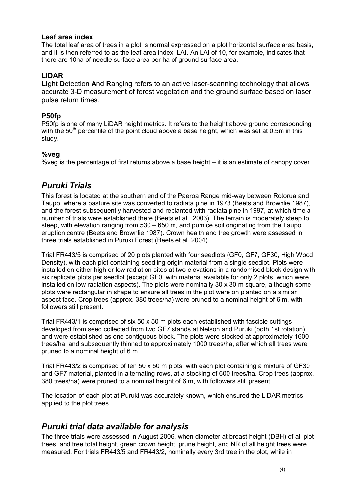#### Leaf area index

The total leaf area of trees in a plot is normal expressed on a plot horizontal surface area basis, and it is then referred to as the leaf area index, LAI. An LAI of 10, for example, indicates that there are 10ha of needle surface area per ha of ground surface area.

#### LiDAR

Light Detection And Ranging refers to an active laser-scanning technology that allows accurate 3-D measurement of forest vegetation and the ground surface based on laser pulse return times.

#### P50fp

P50fp is one of many LiDAR height metrics. It refers to the height above ground corresponding with the  $50<sup>th</sup>$  percentile of the point cloud above a base height, which was set at 0.5m in this study.

#### %veg

%veg is the percentage of first returns above a base height – it is an estimate of canopy cover.

### Puruki Trials

This forest is located at the southern end of the Paeroa Range mid-way between Rotorua and Taupo, where a pasture site was converted to radiata pine in 1973 (Beets and Brownlie 1987), and the forest subsequently harvested and replanted with radiata pine in 1997, at which time a number of trials were established there (Beets et al., 2003). The terrain is moderately steep to steep, with elevation ranging from 530 – 650.m, and pumice soil originating from the Taupo eruption centre (Beets and Brownlie 1987). Crown health and tree growth were assessed in three trials established in Puruki Forest (Beets et al. 2004).

Trial FR443/5 is comprised of 20 plots planted with four seedlots (GF0, GF7, GF30, High Wood Density), with each plot containing seedling origin material from a single seedlot. Plots were installed on either high or low radiation sites at two elevations in a randomised block design with six replicate plots per seedlot (except GF0, with material available for only 2 plots, which were installed on low radiation aspects). The plots were nominally 30 x 30 m square, although some plots were rectangular in shape to ensure all trees in the plot were on planted on a similar aspect face. Crop trees (approx. 380 trees/ha) were pruned to a nominal height of 6 m, with followers still present.

Trial FR443/1 is comprised of six 50 x 50 m plots each established with fascicle cuttings developed from seed collected from two GF7 stands at Nelson and Puruki (both 1st rotation), and were established as one contiguous block. The plots were stocked at approximately 1600 trees/ha, and subsequently thinned to approximately 1000 trees/ha, after which all trees were pruned to a nominal height of 6 m.

Trial FR443/2 is comprised of ten 50 x 50 m plots, with each plot containing a mixture of GF30 and GF7 material, planted in alternating rows, at a stocking of 600 trees/ha. Crop trees (approx. 380 trees/ha) were pruned to a nominal height of 6 m, with followers still present.

The location of each plot at Puruki was accurately known, which ensured the LiDAR metrics applied to the plot trees.

### Puruki trial data available for analysis

The three trials were assessed in August 2006, when diameter at breast height (DBH) of all plot trees, and tree total height, green crown height, prune height, and NR of all height trees were measured. For trials FR443/5 and FR443/2, nominally every 3rd tree in the plot, while in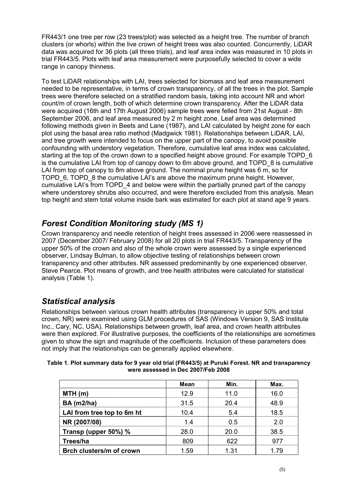FR443/1 one tree per row (23 trees/plot) was selected as a height tree. The number of branch clusters (or whorls) within the live crown of height trees was also counted. Concurrently, LiDAR data was acquired for 36 plots (all three trials), and leaf area index was measured in 10 plots in trial FR443/5. Plots with leaf area measurement were purposefully selected to cover a wide range in canopy thinness.

To test LiDAR relationships with LAI, trees selected for biomass and leaf area measurement needed to be representative, in terms of crown transparency, of all the trees in the plot. Sample trees were therefore selected on a stratified random basis, taking into account NR and whorl count/m of crown length, both of which determine crown transparency. After the LiDAR data were acquired (16th and 17th August 2006) sample trees were felled from 21st August - 8th September 2006, and leaf area measured by 2 m height zone. Leaf area was determined following methods given in Beets and Lane (1987), and LAI calculated by height zone for each plot using the basal area ratio method (Madgwick 1981). Relationships between LiDAR, LAI, and tree growth were intended to focus on the upper part of the canopy, to avoid possible confounding with understory vegetation. Therefore, cumulative leaf area index was calculated, starting at the top of the crown down to a specified height above ground. For example TOPD 6 is the cumulative LAI from top of canopy down to 6m above ground, and TOPD\_8 is cumulative LAI from top of canopy to 8m above ground. The nominal prune height was 6 m, so for TOPD\_6, TOPD\_8 the cumulative LAI's are above the maximum prune height. However, cumulative LAI's from TOPD 4 and below were within the partially pruned part of the canopy where understorey shrubs also occurred, and were therefore excluded from this analysis. Mean top height and stem total volume inside bark was estimated for each plot at stand age 9 years.

### Forest Condition Monitoring study (MS 1)

Crown transparency and needle retention of height trees assessed in 2006 were reassessed in 2007 (December 2007/ February 2008) for all 20 plots in trial FR443/5. Transparency of the upper 50% of the crown and also of the whole crown were assessed by a single experienced observer, Lindsay Bulman, to allow objective testing of relationships between crown transparency and other attributes. NR assessed predominantly by one experienced observer, Steve Pearce. Plot means of growth, and tree health attributes were calculated for statistical analysis (Table 1).

### Statistical analysis

Relationships between various crown health attributes (transparency in upper 50% and total crown, NR) were examined using GLM procedures of SAS (Windows Version 9, SAS Institute Inc., Cary, NC, USA). Relationships between growth, leaf area, and crown health attributes were then explored. For illustrative purposes, the coefficients of the relationships are sometimes given to show the sign and magnitude of the coefficients. Inclusion of these parameters does not imply that the relationships can be generally applied elsewhere.

|                            | Mean            | Min. | Max. |
|----------------------------|-----------------|------|------|
| $MTH$ (m)                  | 12.9            | 1 N  | 16 ቦ |
| <b>BA</b> (m2/ha)          | 31.5            | 20 4 | 18 Q |
| LAI from tree top to 6m ht |                 |      | 18.5 |
| NR (2007/08)               | 4               | በ 5  | ን በ  |
| Transp (upper 50%) %       | 28 <sub>0</sub> |      | 38.5 |
| Trees/ha                   |                 |      |      |
| Brch clusters/m of crown   | -59             | 1 31 |      |

#### Table 1. Plot summary data for 9 year old trial (FR443/5) at Puruki Forest. NR and transparency were assessed in Dec 2007/Feb 2008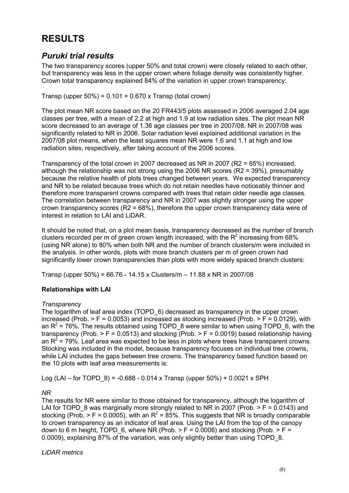## RESULTS

### Puruki trial results

The two transparency scores (upper 50% and total crown) were closely related to each other, but transparency was less in the upper crown where foliage density was consistently higher. Crown total transparency explained 84% of the variation in upper crown transparency:

Transp (upper  $50\%$ ) = 0.101 + 0.670 x Transp (total crown)

The plot mean NR score based on the 20 FR443/5 plots assessed in 2006 averaged 2.04 age classes per tree, with a mean of 2.2 at high and 1.9 at low radiation sites. The plot mean NR score decreased to an average of 1.36 age classes per tree in 2007/08. NR in 2007/08 was significantly related to NR in 2006. Solar radiation level explained additional variation in the 2007/08 plot means, when the least squares mean NR were 1.6 and 1.1 at high and low radiation sites, respectively, after taking account of the 2006 scores.

Transparency of the total crown in 2007 decreased as NR in 2007 (R2 = 65%) increased, although the relationship was not strong using the 2006 NR scores (R2 = 39%), presumably because the relative health of plots trees changed between years. We expected transparency and NR to be related because trees which do not retain needles have noticeably thinner and therefore more transparent crowns compared with trees that retain older needle age classes. The correlation between transparency and NR in 2007 was slightly stronger using the upper crown transparency scores (R2 = 68%), therefore the upper crown transparency data were of interest in relation to LAI and LiDAR.

It should be noted that, on a plot mean basis, transparency decreased as the number of branch clusters recorded per m of green crown length increased, with the R<sup>2</sup> increasing from 68% (using NR alone) to 80% when both NR and the number of branch clusters/m were included in the analysis. In other words, plots with more branch clusters per m of green crown had significantly lower crown transparencies than plots with more widely spaced branch clusters:

Transp (upper 50%) = 66.76 - 14.15 x Clusters/m – 11.88 x NR in 2007/08

#### Relationships with LAI

#### **Transparency**

The logarithm of leaf area index (TOPD\_6) decreased as transparency in the upper crown increased (Prob.  $>$  F = 0.0053) and increased as stocking increased (Prob.  $>$  F = 0.0129), with an  $R^2$  = 76%. The results obtained using TOPD\_8 were similar to when using TOPD\_6, with the transparency (Prob.  $>$  F = 0.0513) and stocking (Prob.  $>$  F = 0.0019) based relationship having an  $R^2$  = 79%. Leaf area was expected to be less in plots where trees have transparent crowns. Stocking was included in the model, because transparency focuses on individual tree crowns, while LAI includes the gaps between tree crowns. The transparency based function based on the 10 plots with leaf area measurements is:

Log (LAI – for TOPD  $8$ ) = -0.688 - 0.014 x Transp (upper 50%) + 0.0021 x SPH

#### NR

The results for NR were similar to those obtained for transparency, although the logarithm of LAI for TOPD 8 was marginally more strongly related to NR in 2007 (Prob.  $> F = 0.0143$ ) and stocking (Prob. > F = 0.0005), with an R<sup>2</sup> = 85%. This suggests that NR is broadly comparable to crown transparency as an indicator of leaf area. Using the LAI from the top of the canopy down to 6 m height, TOPD 6, where NR (Prob.  $> F = 0.0006$ ) and stocking (Prob.  $> F =$ 0.0009), explaining 87% of the variation, was only slightly better than using TOPD 8.

LiDAR metrics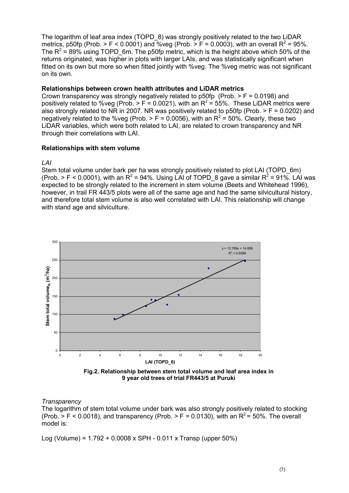The logarithm of leaf area index (TOPD 8) was strongly positively related to the two LiDAR metrics, p50fp (Prob. > F < 0.0001) and %veg (Prob. > F = 0.0003), with an overall  $R^2$  = 95%. The  $R^2$  = 89% using TOPD\_6m. The p50fp metric, which is the height above which 50% of the returns originated, was higher in plots with larger LAIs, and was statistically significant when fitted on its own but more so when fitted jointly with %veg. The %veg metric was not significant on its own.

#### Relationships between crown health attributes and LiDAR metrics

Crown transparency was strongly negatively related to  $p50fp$  (Prob.  $> F = 0.0198$ ) and positively related to %veg (Prob. > F = 0.0021), with an  $R^2$  = 55%. These LiDAR metrics were also strongly related to NR in 2007. NR was positively related to p50fp (Prob.  $> F = 0.0202$ ) and negatively related to the %veg (Prob. > F = 0.0056), with an  $R^2$  = 50%. Clearly, these two LiDAR variables, which were both related to LAI, are related to crown transparency and NR through their correlations with LAI.

#### Relationships with stem volume

#### LAI

Stem total volume under bark per ha was strongly positively related to plot LAI (TOPD 6m) (Prob. > F < 0.0001), with an R<sup>2</sup> = 94%. Using LAI of TOPD\_8 gave a similar R<sup>2</sup> = 91%. LAI was expected to be strongly related to the increment in stem volume (Beets and Whitehead 1996), however, in trail FR 443/5 plots were all of the same age and had the same silvicultural history, and therefore total stem volume is also well correlated with LAI. This relationship will change with stand age and silviculture.



Fig.2. Relationship between stem total volume and leaf area index in 9 year old trees of trial FR443/5 at Puruki

#### **Transparency**

The logarithm of stem total volume under bark was also strongly positively related to stocking (Prob.  $>$  F < 0.0018), and transparency (Prob.  $>$  F = 0.0130), with an R<sup>2</sup> = 50%. The overall model is:

Log (Volume) = 1.792 + 0.0008 x SPH - 0.011 x Transp (upper 50%)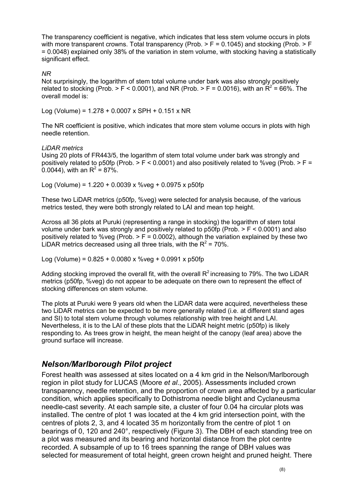The transparency coefficient is negative, which indicates that less stem volume occurs in plots with more transparent crowns. Total transparency (Prob.  $>$  F = 0.1045) and stocking (Prob.  $>$  F = 0.0048) explained only 38% of the variation in stem volume, with stocking having a statistically significant effect.

#### NR

Not surprisingly, the logarithm of stem total volume under bark was also strongly positively related to stocking (Prob. > F < 0.0001), and NR (Prob. > F = 0.0016), with an  $R^2$  = 66%. The overall model is:

Log (Volume) = 1.278 + 0.0007 x SPH + 0.151 x NR

The NR coefficient is positive, which indicates that more stem volume occurs in plots with high needle retention.

#### LiDAR metrics

Using 20 plots of FR443/5, the logarithm of stem total volume under bark was strongly and positively related to p50fp (Prob.  $> F < 0.0001$ ) and also positively related to %veg (Prob.  $> F =$ 0.0044), with an R<sup>2</sup> = 87%.

Log (Volume) =  $1.220 + 0.0039 \times \%$  veg + 0.0975 x p50fp

These two LiDAR metrics (p50fp, %veg) were selected for analysis because, of the various metrics tested, they were both strongly related to LAI and mean top height.

Across all 36 plots at Puruki (representing a range in stocking) the logarithm of stem total volume under bark was strongly and positively related to p50fp (Prob. > F < 0.0001) and also positively related to %veg (Prob.  $>$  F = 0.0002), although the variation explained by these two LiDAR metrics decreased using all three trials, with the  $R^2$  = 70%.

Log (Volume) = 0.825 + 0.0080 x %veg + 0.0991 x p50fp

Adding stocking improved the overall fit, with the overall  $R^2$  increasing to 79%. The two LiDAR metrics (p50fp, %veg) do not appear to be adequate on there own to represent the effect of stocking differences on stem volume.

The plots at Puruki were 9 years old when the LiDAR data were acquired, nevertheless these two LiDAR metrics can be expected to be more generally related (i.e. at different stand ages and SI) to total stem volume through volumes relationship with tree height and LAI. Nevertheless, it is to the LAI of these plots that the LiDAR height metric (p50fp) is likely responding to. As trees grow in height, the mean height of the canopy (leaf area) above the ground surface will increase.

### Nelson/Marlborough Pilot project

Forest health was assessed at sites located on a 4 km grid in the Nelson/Marlborough region in pilot study for LUCAS (Moore et al., 2005). Assessments included crown transparency, needle retention, and the proportion of crown area affected by a particular condition, which applies specifically to Dothistroma needle blight and Cyclaneusma needle-cast severity. At each sample site, a cluster of four 0.04 ha circular plots was installed. The centre of plot 1 was located at the 4 km grid intersection point, with the centres of plots 2, 3, and 4 located 35 m horizontally from the centre of plot 1 on bearings of 0, 120 and 240°, respectively (Figure 3). The DBH of each standing tree on a plot was measured and its bearing and horizontal distance from the plot centre recorded. A subsample of up to 16 trees spanning the range of DBH values was selected for measurement of total height, green crown height and pruned height. There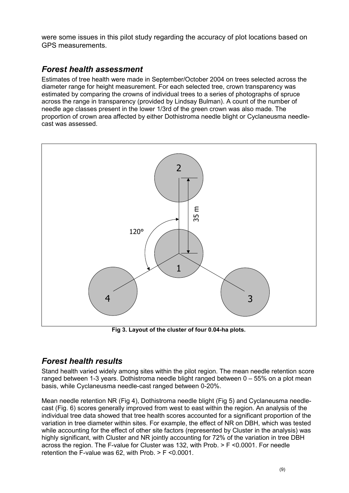were some issues in this pilot study regarding the accuracy of plot locations based on GPS measurements.

### Forest health assessment

Estimates of tree health were made in September/October 2004 on trees selected across the diameter range for height measurement. For each selected tree, crown transparency was estimated by comparing the crowns of individual trees to a series of photographs of spruce across the range in transparency (provided by Lindsay Bulman). A count of the number of needle age classes present in the lower 1/3rd of the green crown was also made. The proportion of crown area affected by either Dothistroma needle blight or Cyclaneusma needlecast was assessed.



Fig 3. Layout of the cluster of four 0.04-ha plots.

### Forest health results

Stand health varied widely among sites within the pilot region. The mean needle retention score ranged between 1-3 years. Dothistroma needle blight ranged between 0 – 55% on a plot mean basis, while Cyclaneusma needle-cast ranged between 0-20%.

Mean needle retention NR (Fig 4), Dothistroma needle blight (Fig 5) and Cyclaneusma needlecast (Fig. 6) scores generally improved from west to east within the region. An analysis of the individual tree data showed that tree health scores accounted for a significant proportion of the variation in tree diameter within sites. For example, the effect of NR on DBH, which was tested while accounting for the effect of other site factors (represented by Cluster in the analysis) was highly significant, with Cluster and NR jointly accounting for 72% of the variation in tree DBH across the region. The F-value for Cluster was 132, with Prob. > F <0.0001. For needle retention the F-value was 62, with Prob. > F <0.0001.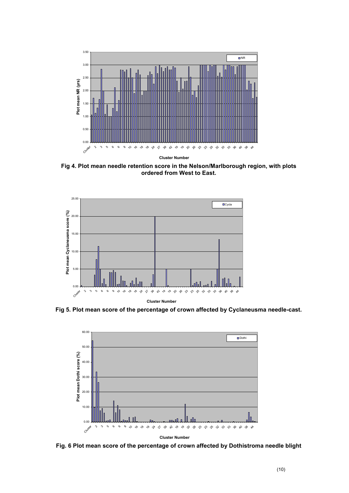

Fig 4. Plot mean needle retention score in the Nelson/Marlborough region, with plots ordered from West to East.



Fig 5. Plot mean score of the percentage of crown affected by Cyclaneusma needle-cast.



Fig. 6 Plot mean score of the percentage of crown affected by Dothistroma needle blight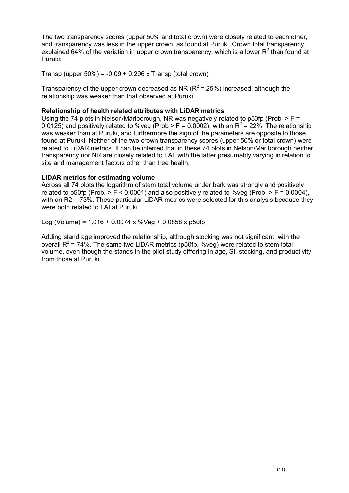The two transparency scores (upper 50% and total crown) were closely related to each other, and transparency was less in the upper crown, as found at Puruki. Crown total transparency explained 64% of the variation in upper crown transparency, which is a lower R<sup>2</sup> than found at Puruki:

Transp (upper  $50\%$ ) =  $-0.09 + 0.296$  x Transp (total crown)

Transparency of the upper crown decreased as NR ( $R^2$  = 25%) increased, although the relationship was weaker than that observed at Puruki.

#### Relationship of health related attributes with LiDAR metrics

Using the 74 plots in Nelson/Marlborough, NR was negatively related to p50fp (Prob.  $>$  F = 0.0125) and positively related to %veg (Prob > F = 0.0002), with an R<sup>2</sup> = 22%. The relationship was weaker than at Puruki, and furthermore the sign of the parameters are opposite to those found at Puruki. Neither of the two crown transparency scores (upper 50% or total crown) were related to LiDAR metrics. It can be inferred that in these 74 plots in Nelson/Marlborough neither transparency nor NR are closely related to LAI, with the latter presumably varying in relation to site and management factors other than tree health.

#### LiDAR metrics for estimating volume

Across all 74 plots the logarithm of stem total volume under bark was strongly and positively related to p50fp (Prob.  $> F < 0.0001$ ) and also positively related to %yeg (Prob.  $> F = 0.0004$ ). with an R2 = 73%. These particular LiDAR metrics were selected for this analysis because they were both related to LAI at Puruki.

Log (Volume) =  $1.016 + 0.0074 \times %$ Veg + 0.0858 x p50fp

Adding stand age improved the relationship, although stocking was not significant, with the overall  $R^2$  = 74%. The same two LiDAR metrics (p50fp, %veg) were related to stem total volume, even though the stands in the pilot study differing in age, SI, stocking, and productivity from those at Puruki.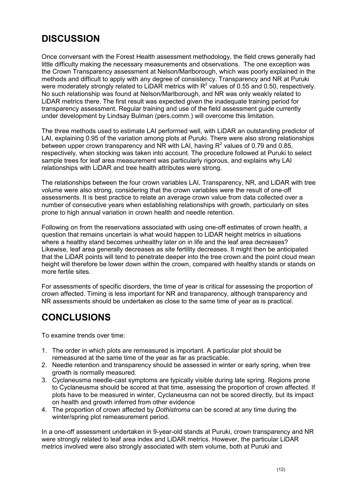## **DISCUSSION**

Once conversant with the Forest Health assessment methodology, the field crews generally had little difficulty making the necessary measurements and observations. The one exception was the Crown Transparency assessment at Nelson/Marlborough, which was poorly explained in the methods and difficult to apply with any degree of consistency. Transparency and NR at Puruki were moderately strongly related to LiDAR metrics with  $R^2$  values of 0.55 and 0.50, respectively. No such relationship was found at Nelson/Marlborough, and NR was only weakly related to LiDAR metrics there. The first result was expected given the inadequate training period for transparency assessment. Regular training and use of the field assessment guide currently under development by Lindsay Bulman (pers.comm.) will overcome this limitation.

The three methods used to estimate LAI performed well, with LiDAR an outstanding predictor of LAI, explaining 0.95 of the variation among plots at Puruki. There were also strong relationships between upper crown transparency and NR with LAI, having  $R^2$  values of 0.79 and 0.85, respectively, when stocking was taken into account. The procedure followed at Puruki to select sample trees for leaf area measurement was particularly rigorous, and explains why LAI relationships with LiDAR and tree health attributes were strong.

The relationships between the four crown variables LAI, Transparency, NR, and LiDAR with tree volume were also strong, considering that the crown variables were the result of one-off assessments. It is best practice to relate an average crown value from data collected over a number of consecutive years when establishing relationships with growth, particularly on sites prone to high annual variation in crown health and needle retention.

Following on from the reservations associated with using one-off estimates of crown health, a question that remains uncertain is what would happen to LiDAR height metrics in situations where a healthy stand becomes unhealthy later on in life and the leaf area decreases? Likewise, leaf area generally decreases as site fertility decreases. It might then be anticipated that the LiDAR points will tend to penetrate deeper into the tree crown and the point cloud mean height will therefore be lower down within the crown, compared with healthy stands or stands on more fertile sites.

For assessments of specific disorders, the time of year is critical for assessing the proportion of crown affected. Timing is less important for NR and transparency, although transparency and NR assessments should be undertaken as close to the same time of year as is practical.

## CONCLUSIONS

To examine trends over time:

- 1. The order in which plots are remeasured is important. A particular plot should be remeasured at the same time of the year as far as practicable.
- 2. Needle retention and transparency should be assessed in winter or early spring, when tree growth is normally measured.
- 3. Cyclaneusma needle-cast symptoms are typically visible during late spring. Regions prone to Cyclaneusma should be scored at that time, assessing the proportion of crown affected. If plots have to be measured in winter, Cyclaneusma can not be scored directly, but its impact on health and growth inferred from other evidence
- 4. The proportion of crown affected by Dothistroma can be scored at any time during the winter/spring plot remeasurement period.

In a one-off assessment undertaken in 9-year-old stands at Puruki, crown transparency and NR were strongly related to leaf area index and LiDAR metrics. However, the particular LiDAR metrics involved were also strongly associated with stem volume, both at Puruki and